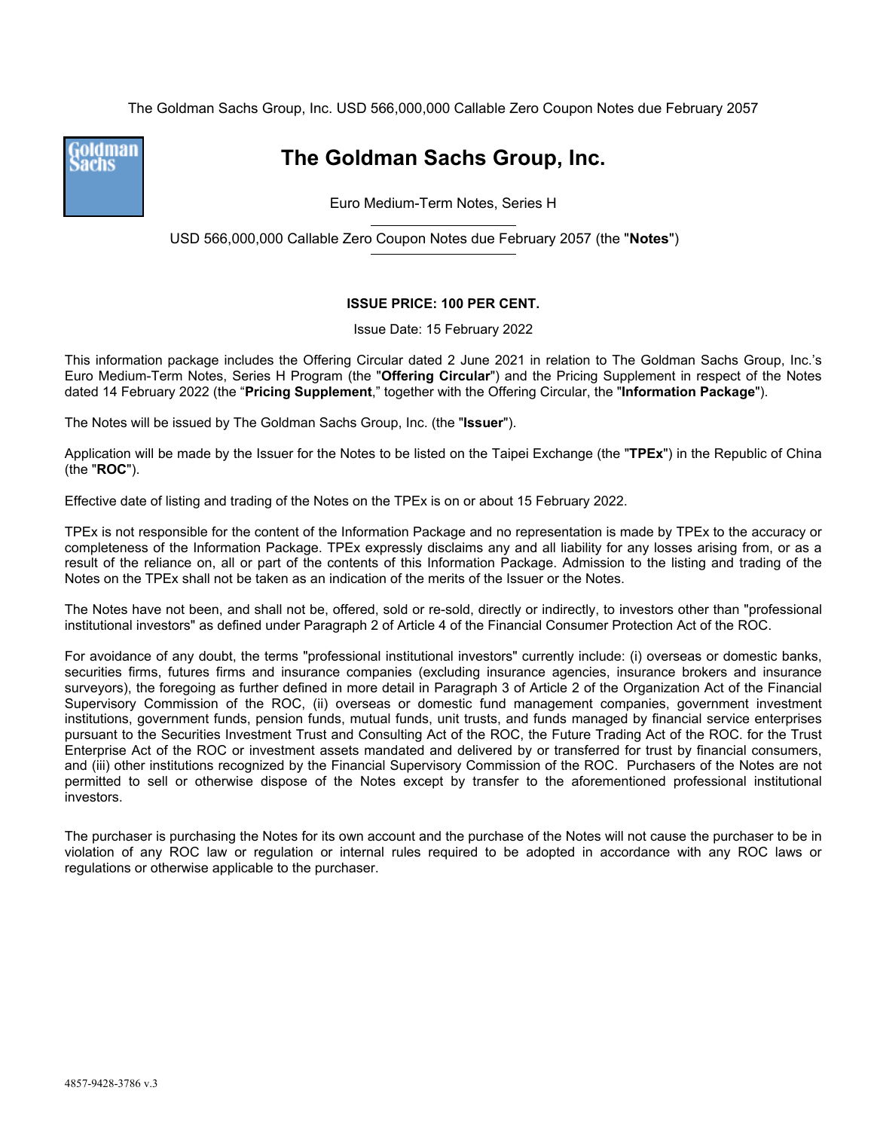The Goldman Sachs Group, Inc. USD 566,000,000 Callable Zero Coupon Notes due February 2057



**The Goldman Sachs Group, Inc.** 

Euro Medium-Term Notes, Series H

USD 566,000,000 Callable Zero Coupon Notes due February 2057 (the "**Notes**")

#### **ISSUE PRICE: 100 PER CENT.**

Issue Date: 15 February 2022

This information package includes the Offering Circular dated 2 June 2021 in relation to The Goldman Sachs Group, Inc.'s Euro Medium-Term Notes, Series H Program (the "**Offering Circular**") and the Pricing Supplement in respect of the Notes dated 14 February 2022 (the "**Pricing Supplement**," together with the Offering Circular, the "**Information Package**").

The Notes will be issued by The Goldman Sachs Group, Inc. (the "**Issuer**").

Application will be made by the Issuer for the Notes to be listed on the Taipei Exchange (the "**TPEx**") in the Republic of China (the "**ROC**").

Effective date of listing and trading of the Notes on the TPEx is on or about 15 February 2022.

TPEx is not responsible for the content of the Information Package and no representation is made by TPEx to the accuracy or completeness of the Information Package. TPEx expressly disclaims any and all liability for any losses arising from, or as a result of the reliance on, all or part of the contents of this Information Package. Admission to the listing and trading of the Notes on the TPEx shall not be taken as an indication of the merits of the Issuer or the Notes.

The Notes have not been, and shall not be, offered, sold or re-sold, directly or indirectly, to investors other than "professional institutional investors" as defined under Paragraph 2 of Article 4 of the Financial Consumer Protection Act of the ROC.

For avoidance of any doubt, the terms "professional institutional investors" currently include: (i) overseas or domestic banks, securities firms, futures firms and insurance companies (excluding insurance agencies, insurance brokers and insurance surveyors), the foregoing as further defined in more detail in Paragraph 3 of Article 2 of the Organization Act of the Financial Supervisory Commission of the ROC, (ii) overseas or domestic fund management companies, government investment institutions, government funds, pension funds, mutual funds, unit trusts, and funds managed by financial service enterprises pursuant to the Securities Investment Trust and Consulting Act of the ROC, the Future Trading Act of the ROC. for the Trust Enterprise Act of the ROC or investment assets mandated and delivered by or transferred for trust by financial consumers, and (iii) other institutions recognized by the Financial Supervisory Commission of the ROC. Purchasers of the Notes are not permitted to sell or otherwise dispose of the Notes except by transfer to the aforementioned professional institutional investors.

The purchaser is purchasing the Notes for its own account and the purchase of the Notes will not cause the purchaser to be in violation of any ROC law or regulation or internal rules required to be adopted in accordance with any ROC laws or regulations or otherwise applicable to the purchaser.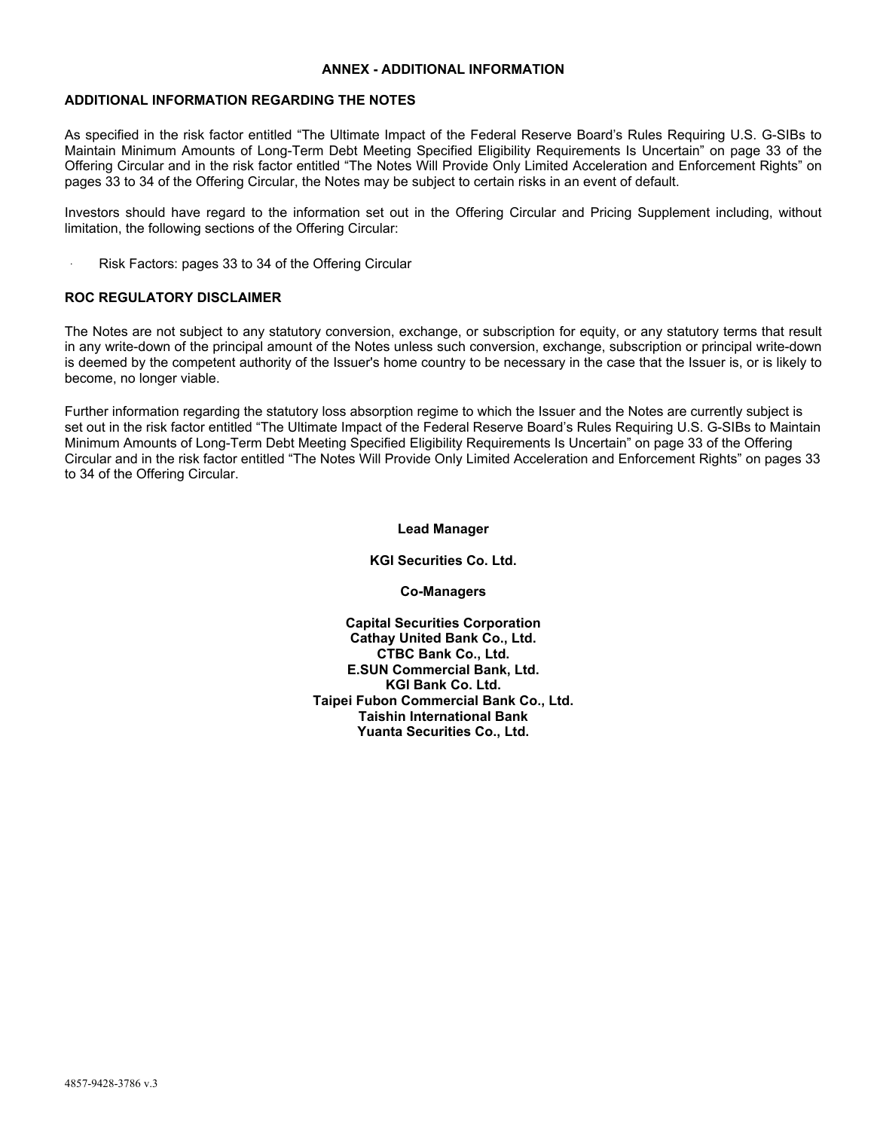#### **ANNEX - ADDITIONAL INFORMATION**

#### **ADDITIONAL INFORMATION REGARDING THE NOTES**

As specified in the risk factor entitled "The Ultimate Impact of the Federal Reserve Board's Rules Requiring U.S. G-SIBs to Maintain Minimum Amounts of Long-Term Debt Meeting Specified Eligibility Requirements Is Uncertain" on page 33 of the Offering Circular and in the risk factor entitled "The Notes Will Provide Only Limited Acceleration and Enforcement Rights" on pages 33 to 34 of the Offering Circular, the Notes may be subject to certain risks in an event of default.

Investors should have regard to the information set out in the Offering Circular and Pricing Supplement including, without limitation, the following sections of the Offering Circular:

. Risk Factors: pages 33 to 34 of the Offering Circular

#### **ROC REGULATORY DISCLAIMER**

The Notes are not subject to any statutory conversion, exchange, or subscription for equity, or any statutory terms that result in any write-down of the principal amount of the Notes unless such conversion, exchange, subscription or principal write-down is deemed by the competent authority of the Issuer's home country to be necessary in the case that the Issuer is, or is likely to become, no longer viable.

Further information regarding the statutory loss absorption regime to which the Issuer and the Notes are currently subject is set out in the risk factor entitled "The Ultimate Impact of the Federal Reserve Board's Rules Requiring U.S. G-SIBs to Maintain Minimum Amounts of Long-Term Debt Meeting Specified Eligibility Requirements Is Uncertain" on page 33 of the Offering Circular and in the risk factor entitled "The Notes Will Provide Only Limited Acceleration and Enforcement Rights" on pages 33 to 34 of the Offering Circular.

#### **Lead Manager**

#### **KGI Securities Co. Ltd.**

**Co-Managers** 

**Capital Securities Corporation Cathay United Bank Co., Ltd. CTBC Bank Co., Ltd. E.SUN Commercial Bank, Ltd. KGI Bank Co. Ltd. Taipei Fubon Commercial Bank Co., Ltd. Taishin International Bank Yuanta Securities Co., Ltd.**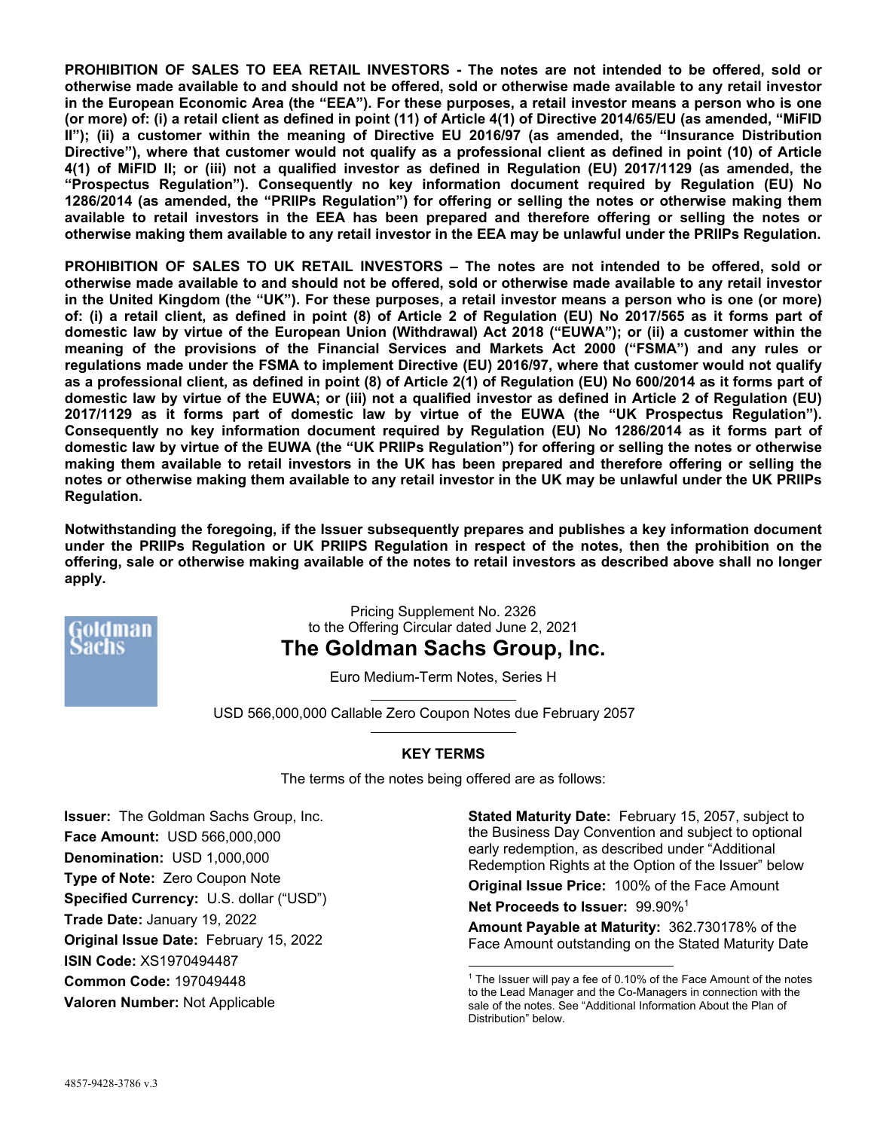**PROHIBITION OF SALES TO EEA RETAIL INVESTORS - The notes are not intended to be offered, sold or otherwise made available to and should not be offered, sold or otherwise made available to any retail investor in the European Economic Area (the "EEA"). For these purposes, a retail investor means a person who is one (or more) of: (i) a retail client as defined in point (11) of Article 4(1) of Directive 2014/65/EU (as amended, "MiFID II"); (ii) a customer within the meaning of Directive EU 2016/97 (as amended, the "Insurance Distribution Directive"), where that customer would not qualify as a professional client as defined in point (10) of Article 4(1) of MiFID II; or (iii) not a qualified investor as defined in Regulation (EU) 2017/1129 (as amended, the "Prospectus Regulation"). Consequently no key information document required by Regulation (EU) No 1286/2014 (as amended, the "PRIIPs Regulation") for offering or selling the notes or otherwise making them available to retail investors in the EEA has been prepared and therefore offering or selling the notes or otherwise making them available to any retail investor in the EEA may be unlawful under the PRIIPs Regulation.** 

**PROHIBITION OF SALES TO UK RETAIL INVESTORS – The notes are not intended to be offered, sold or otherwise made available to and should not be offered, sold or otherwise made available to any retail investor in the United Kingdom (the "UK"). For these purposes, a retail investor means a person who is one (or more) of: (i) a retail client, as defined in point (8) of Article 2 of Regulation (EU) No 2017/565 as it forms part of domestic law by virtue of the European Union (Withdrawal) Act 2018 ("EUWA"); or (ii) a customer within the meaning of the provisions of the Financial Services and Markets Act 2000 ("FSMA") and any rules or regulations made under the FSMA to implement Directive (EU) 2016/97, where that customer would not qualify as a professional client, as defined in point (8) of Article 2(1) of Regulation (EU) No 600/2014 as it forms part of domestic law by virtue of the EUWA; or (iii) not a qualified investor as defined in Article 2 of Regulation (EU) 2017/1129 as it forms part of domestic law by virtue of the EUWA (the "UK Prospectus Regulation"). Consequently no key information document required by Regulation (EU) No 1286/2014 as it forms part of domestic law by virtue of the EUWA (the "UK PRIIPs Regulation") for offering or selling the notes or otherwise making them available to retail investors in the UK has been prepared and therefore offering or selling the notes or otherwise making them available to any retail investor in the UK may be unlawful under the UK PRIIPs Regulation.** 

**Notwithstanding the foregoing, if the Issuer subsequently prepares and publishes a key information document under the PRIIPs Regulation or UK PRIIPS Regulation in respect of the notes, then the prohibition on the offering, sale or otherwise making available of the notes to retail investors as described above shall no longer apply.** 



Pricing Supplement No. 2326 to the Offering Circular dated June 2, 2021 **The Goldman Sachs Group, Inc.** 

Euro Medium-Term Notes, Series H

USD 566,000,000 Callable Zero Coupon Notes due February 2057

## **KEY TERMS**

The terms of the notes being offered are as follows:

**Issuer:** The Goldman Sachs Group, Inc. **Face Amount:** USD 566,000,000 **Denomination:** USD 1,000,000 **Type of Note:** Zero Coupon Note **Specified Currency:** U.S. dollar ("USD") **Trade Date:** January 19, 2022 **Original Issue Date:** February 15, 2022 **ISIN Code:** XS1970494487 **Common Code:** 197049448 **Valoren Number:** Not Applicable

**Stated Maturity Date:** February 15, 2057, subject to the Business Day Convention and subject to optional early redemption, as described under "Additional Redemption Rights at the Option of the Issuer" below

**Original Issue Price:** 100% of the Face Amount

**Net Proceeds to Issuer:** 99.90%1

**Amount Payable at Maturity:** 362.730178% of the Face Amount outstanding on the Stated Maturity Date

l  $1$  The Issuer will pay a fee of 0.10% of the Face Amount of the notes to the Lead Manager and the Co-Managers in connection with the sale of the notes. See "Additional Information About the Plan of Distribution" below.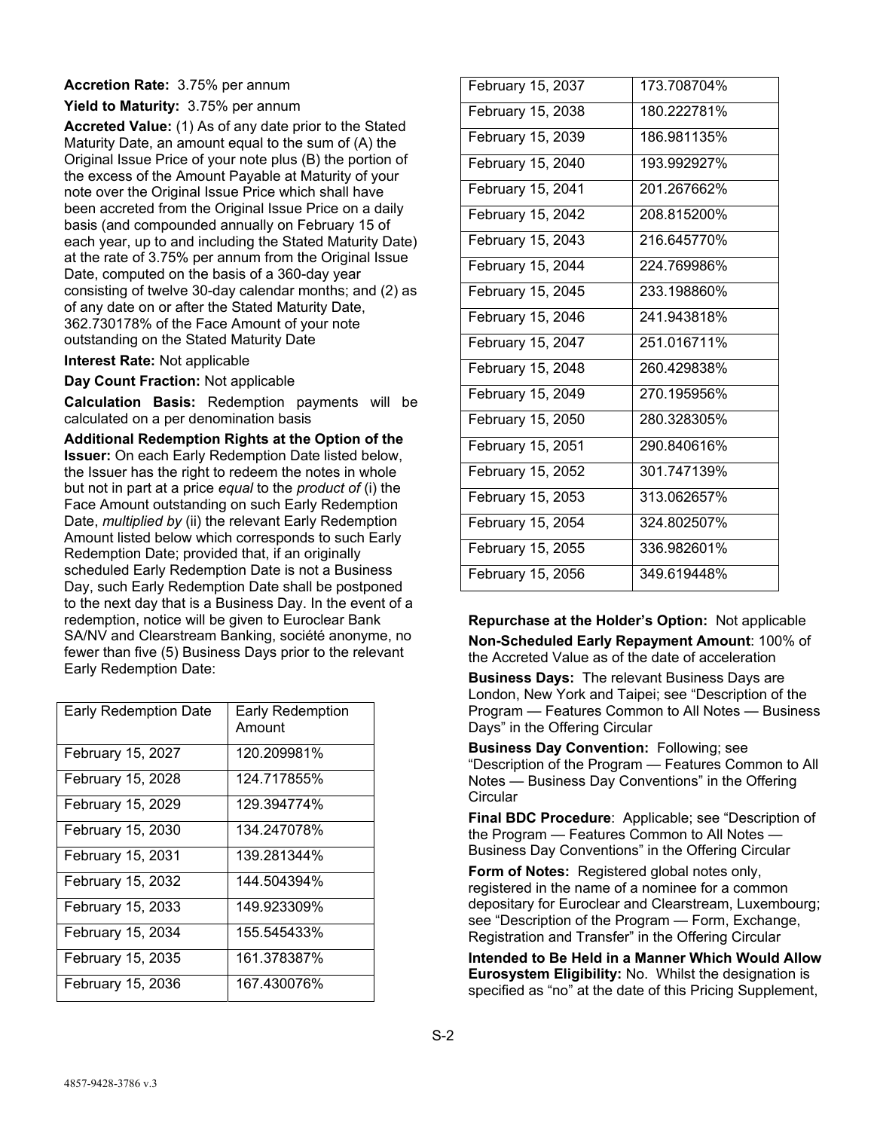## **Accretion Rate:** 3.75% per annum

**Yield to Maturity:** 3.75% per annum

**Accreted Value:** (1) As of any date prior to the Stated Maturity Date, an amount equal to the sum of (A) the Original Issue Price of your note plus (B) the portion of the excess of the Amount Payable at Maturity of your note over the Original Issue Price which shall have been accreted from the Original Issue Price on a daily basis (and compounded annually on February 15 of each year, up to and including the Stated Maturity Date) at the rate of 3.75% per annum from the Original Issue Date, computed on the basis of a 360-day year consisting of twelve 30-day calendar months; and (2) as of any date on or after the Stated Maturity Date, 362.730178% of the Face Amount of your note outstanding on the Stated Maturity Date

**Interest Rate:** Not applicable

**Day Count Fraction:** Not applicable

**Calculation Basis:** Redemption payments will be calculated on a per denomination basis

**Additional Redemption Rights at the Option of the Issuer:** On each Early Redemption Date listed below, the Issuer has the right to redeem the notes in whole but not in part at a price *equal* to the *product of* (i) the Face Amount outstanding on such Early Redemption Date, *multiplied by* (ii) the relevant Early Redemption Amount listed below which corresponds to such Early Redemption Date; provided that, if an originally scheduled Early Redemption Date is not a Business Day, such Early Redemption Date shall be postponed to the next day that is a Business Day. In the event of a redemption, notice will be given to Euroclear Bank SA/NV and Clearstream Banking, société anonyme, no fewer than five (5) Business Days prior to the relevant Early Redemption Date:

| <b>Early Redemption Date</b> | <b>Early Redemption</b><br>Amount |
|------------------------------|-----------------------------------|
| February 15, 2027            | 120.209981%                       |
| February 15, 2028            | 124.717855%                       |
| February 15, 2029            | 129.394774%                       |
| February 15, 2030            | 134.247078%                       |
| February 15, 2031            | 139.281344%                       |
| February 15, 2032            | 144.504394%                       |
| February 15, 2033            | 149.923309%                       |
| February 15, 2034            | 155.545433%                       |
| February 15, 2035            | 161.378387%                       |
| February 15, 2036            | 167.430076%                       |

| February 15, 2037 | 173.708704% |
|-------------------|-------------|
| February 15, 2038 | 180.222781% |
| February 15, 2039 | 186.981135% |
| February 15, 2040 | 193.992927% |
| February 15, 2041 | 201.267662% |
| February 15, 2042 | 208.815200% |
| February 15, 2043 | 216.645770% |
| February 15, 2044 | 224.769986% |
| February 15, 2045 | 233.198860% |
| February 15, 2046 | 241.943818% |
| February 15, 2047 | 251.016711% |
| February 15, 2048 | 260.429838% |
| February 15, 2049 | 270.195956% |
| February 15, 2050 | 280.328305% |
| February 15, 2051 | 290.840616% |
| February 15, 2052 | 301.747139% |
| February 15, 2053 | 313.062657% |
| February 15, 2054 | 324.802507% |
| February 15, 2055 | 336.982601% |
| February 15, 2056 | 349.619448% |

**Repurchase at the Holder's Option:** Not applicable **Non-Scheduled Early Repayment Amount**: 100% of the Accreted Value as of the date of acceleration

**Business Days:** The relevant Business Days are London, New York and Taipei; see "Description of the Program — Features Common to All Notes — Business Days" in the Offering Circular

**Business Day Convention:** Following; see "Description of the Program — Features Common to All Notes — Business Day Conventions" in the Offering **Circular** 

**Final BDC Procedure**: Applicable; see "Description of the Program — Features Common to All Notes — Business Day Conventions" in the Offering Circular

**Form of Notes:** Registered global notes only, registered in the name of a nominee for a common depositary for Euroclear and Clearstream, Luxembourg; see "Description of the Program — Form, Exchange, Registration and Transfer" in the Offering Circular

**Intended to Be Held in a Manner Which Would Allow Eurosystem Eligibility:** No. Whilst the designation is specified as "no" at the date of this Pricing Supplement,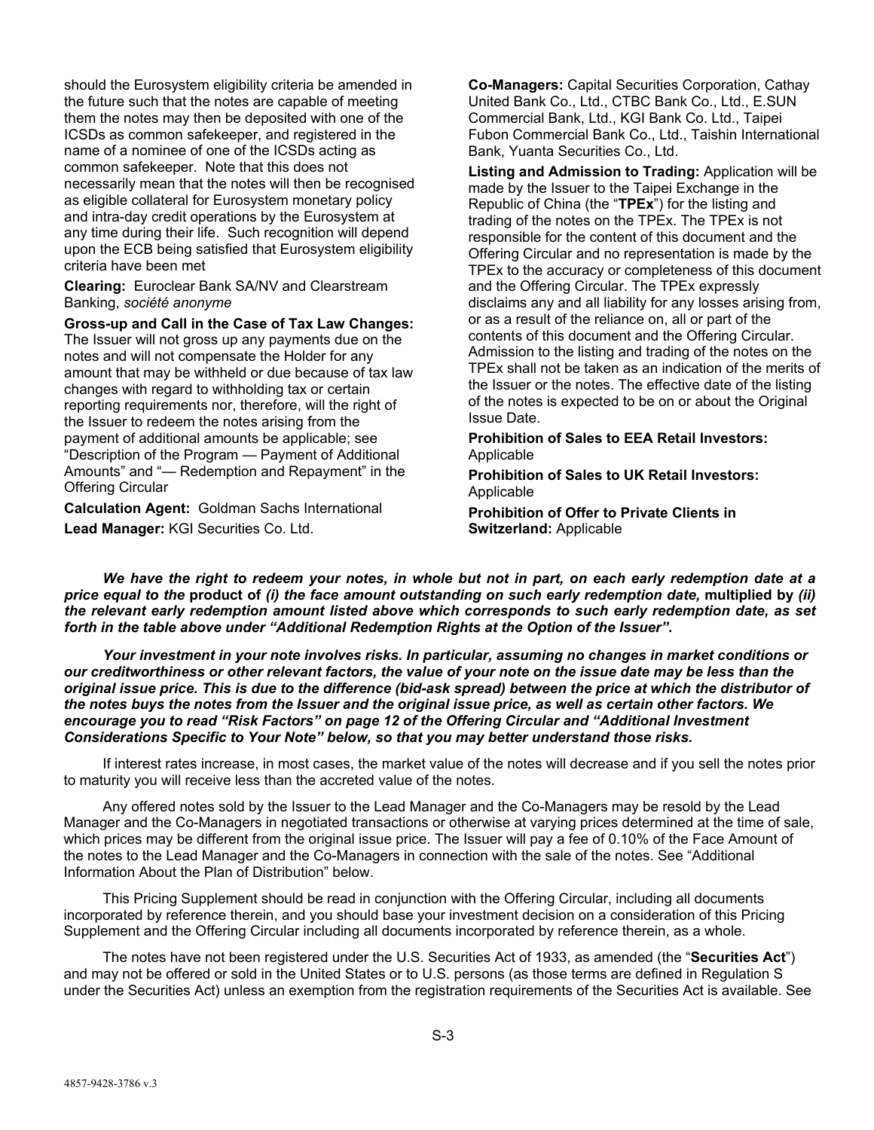should the Eurosystem eligibility criteria be amended in the future such that the notes are capable of meeting them the notes may then be deposited with one of the ICSDs as common safekeeper, and registered in the name of a nominee of one of the ICSDs acting as common safekeeper. Note that this does not necessarily mean that the notes will then be recognised as eligible collateral for Eurosystem monetary policy and intra-day credit operations by the Eurosystem at any time during their life. Such recognition will depend upon the ECB being satisfied that Eurosystem eligibility criteria have been met

**Clearing:** Euroclear Bank SA/NV and Clearstream Banking, *société anonyme* 

**Gross-up and Call in the Case of Tax Law Changes:**

The Issuer will not gross up any payments due on the notes and will not compensate the Holder for any amount that may be withheld or due because of tax law changes with regard to withholding tax or certain reporting requirements nor, therefore, will the right of the Issuer to redeem the notes arising from the payment of additional amounts be applicable; see "Description of the Program — Payment of Additional Amounts" and "— Redemption and Repayment" in the Offering Circular

**Calculation Agent:** Goldman Sachs International **Lead Manager:** KGI Securities Co. Ltd.

**Co-Managers:** Capital Securities Corporation, Cathay United Bank Co., Ltd., CTBC Bank Co., Ltd., E.SUN Commercial Bank, Ltd., KGI Bank Co. Ltd., Taipei Fubon Commercial Bank Co., Ltd., Taishin International Bank, Yuanta Securities Co., Ltd.

**Listing and Admission to Trading:** Application will be made by the Issuer to the Taipei Exchange in the Republic of China (the "**TPEx**") for the listing and trading of the notes on the TPEx. The TPEx is not responsible for the content of this document and the Offering Circular and no representation is made by the TPEx to the accuracy or completeness of this document and the Offering Circular. The TPEx expressly disclaims any and all liability for any losses arising from, or as a result of the reliance on, all or part of the contents of this document and the Offering Circular. Admission to the listing and trading of the notes on the TPEx shall not be taken as an indication of the merits of the Issuer or the notes. The effective date of the listing of the notes is expected to be on or about the Original Issue Date.

**Prohibition of Sales to EEA Retail Investors:** Applicable

**Prohibition of Sales to UK Retail Investors:** Applicable

**Prohibition of Offer to Private Clients in Switzerland:** Applicable

*We have the right to redeem your notes, in whole but not in part, on each early redemption date at a price equal to the* **product of** *(i) the face amount outstanding on such early redemption date,* **multiplied by** *(ii) the relevant early redemption amount listed above which corresponds to such early redemption date, as set forth in the table above under "Additional Redemption Rights at the Option of the Issuer"***.**

*Your investment in your note involves risks. In particular, assuming no changes in market conditions or our creditworthiness or other relevant factors, the value of your note on the issue date may be less than the original issue price. This is due to the difference (bid-ask spread) between the price at which the distributor of the notes buys the notes from the Issuer and the original issue price, as well as certain other factors. We encourage you to read "Risk Factors" on page 12 of the Offering Circular and "Additional Investment Considerations Specific to Your Note" below, so that you may better understand those risks.* 

If interest rates increase, in most cases, the market value of the notes will decrease and if you sell the notes prior to maturity you will receive less than the accreted value of the notes.

Any offered notes sold by the Issuer to the Lead Manager and the Co-Managers may be resold by the Lead Manager and the Co-Managers in negotiated transactions or otherwise at varying prices determined at the time of sale, which prices may be different from the original issue price. The Issuer will pay a fee of 0.10% of the Face Amount of the notes to the Lead Manager and the Co-Managers in connection with the sale of the notes. See "Additional Information About the Plan of Distribution" below.

This Pricing Supplement should be read in conjunction with the Offering Circular, including all documents incorporated by reference therein, and you should base your investment decision on a consideration of this Pricing Supplement and the Offering Circular including all documents incorporated by reference therein, as a whole.

The notes have not been registered under the U.S. Securities Act of 1933, as amended (the "**Securities Act**") and may not be offered or sold in the United States or to U.S. persons (as those terms are defined in Regulation S under the Securities Act) unless an exemption from the registration requirements of the Securities Act is available. See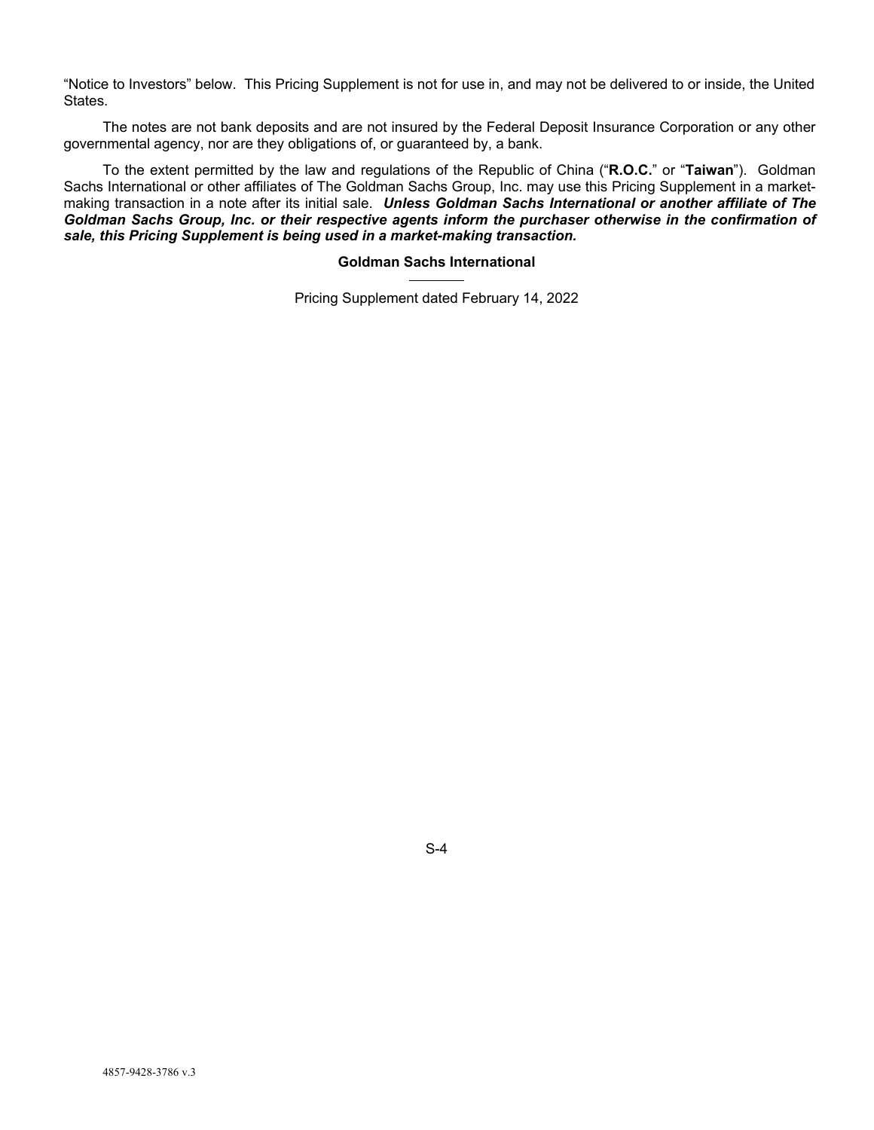"Notice to Investors" below. This Pricing Supplement is not for use in, and may not be delivered to or inside, the United States.

The notes are not bank deposits and are not insured by the Federal Deposit Insurance Corporation or any other governmental agency, nor are they obligations of, or guaranteed by, a bank.

To the extent permitted by the law and regulations of the Republic of China ("**R.O.C.**" or "**Taiwan**"). Goldman Sachs International or other affiliates of The Goldman Sachs Group, Inc. may use this Pricing Supplement in a marketmaking transaction in a note after its initial sale. *Unless Goldman Sachs International or another affiliate of The Goldman Sachs Group, Inc. or their respective agents inform the purchaser otherwise in the confirmation of sale, this Pricing Supplement is being used in a market-making transaction.* 

## **Goldman Sachs International**

Pricing Supplement dated February 14, 2022

S-4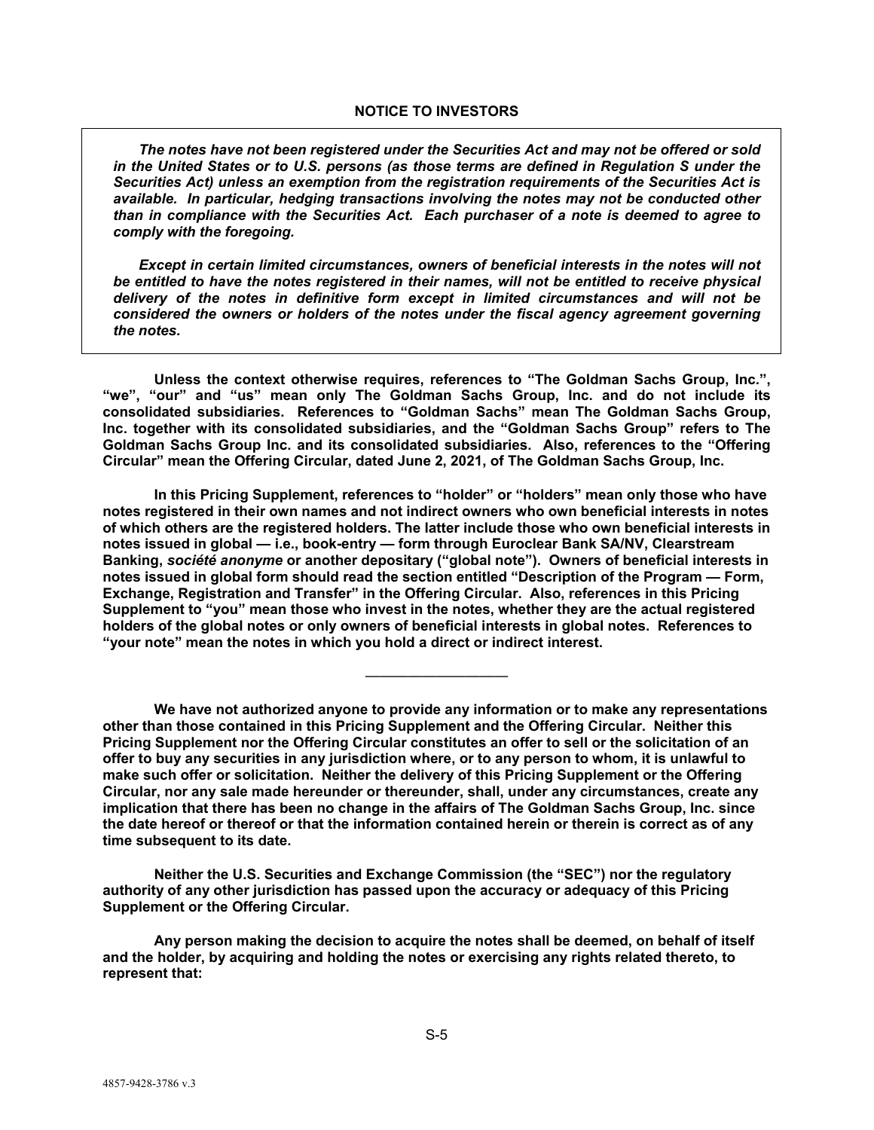*The notes have not been registered under the Securities Act and may not be offered or sold in the United States or to U.S. persons (as those terms are defined in Regulation S under the Securities Act) unless an exemption from the registration requirements of the Securities Act is available. In particular, hedging transactions involving the notes may not be conducted other than in compliance with the Securities Act. Each purchaser of a note is deemed to agree to comply with the foregoing.* 

*Except in certain limited circumstances, owners of beneficial interests in the notes will not be entitled to have the notes registered in their names, will not be entitled to receive physical delivery of the notes in definitive form except in limited circumstances and will not be considered the owners or holders of the notes under the fiscal agency agreement governing the notes.* 

**Unless the context otherwise requires, references to "The Goldman Sachs Group, Inc.", "we", "our" and "us" mean only The Goldman Sachs Group, Inc. and do not include its consolidated subsidiaries. References to "Goldman Sachs" mean The Goldman Sachs Group, Inc. together with its consolidated subsidiaries, and the "Goldman Sachs Group" refers to The Goldman Sachs Group Inc. and its consolidated subsidiaries. Also, references to the "Offering Circular" mean the Offering Circular, dated June 2, 2021, of The Goldman Sachs Group, Inc.** 

**In this Pricing Supplement, references to "holder" or "holders" mean only those who have notes registered in their own names and not indirect owners who own beneficial interests in notes of which others are the registered holders. The latter include those who own beneficial interests in notes issued in global — i.e., book-entry — form through Euroclear Bank SA/NV, Clearstream Banking,** *société anonyme* **or another depositary ("global note"). Owners of beneficial interests in notes issued in global form should read the section entitled "Description of the Program — Form, Exchange, Registration and Transfer" in the Offering Circular. Also, references in this Pricing Supplement to "you" mean those who invest in the notes, whether they are the actual registered holders of the global notes or only owners of beneficial interests in global notes. References to "your note" mean the notes in which you hold a direct or indirect interest.** 

**We have not authorized anyone to provide any information or to make any representations other than those contained in this Pricing Supplement and the Offering Circular. Neither this Pricing Supplement nor the Offering Circular constitutes an offer to sell or the solicitation of an offer to buy any securities in any jurisdiction where, or to any person to whom, it is unlawful to make such offer or solicitation. Neither the delivery of this Pricing Supplement or the Offering Circular, nor any sale made hereunder or thereunder, shall, under any circumstances, create any implication that there has been no change in the affairs of The Goldman Sachs Group, Inc. since the date hereof or thereof or that the information contained herein or therein is correct as of any time subsequent to its date.** 

——————————

**Neither the U.S. Securities and Exchange Commission (the "SEC") nor the regulatory authority of any other jurisdiction has passed upon the accuracy or adequacy of this Pricing Supplement or the Offering Circular.** 

**Any person making the decision to acquire the notes shall be deemed, on behalf of itself and the holder, by acquiring and holding the notes or exercising any rights related thereto, to represent that:**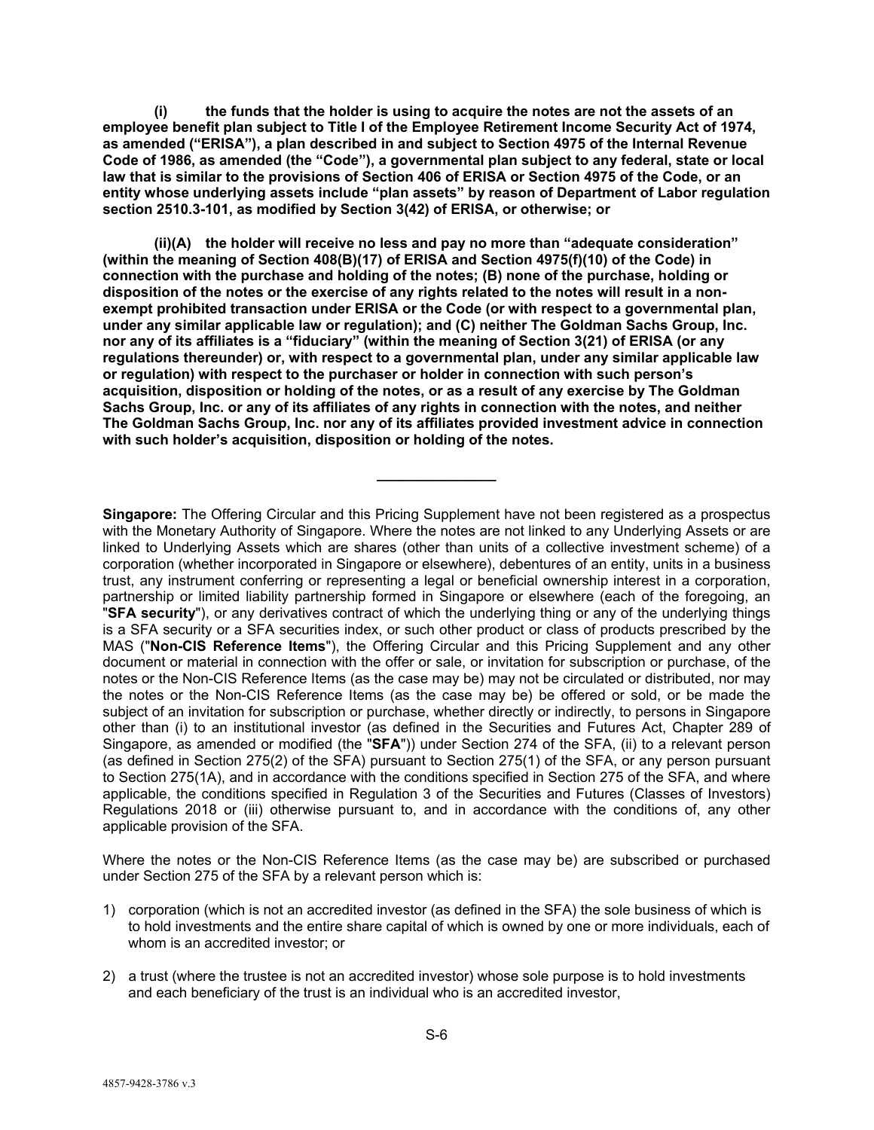**(i) the funds that the holder is using to acquire the notes are not the assets of an employee benefit plan subject to Title I of the Employee Retirement Income Security Act of 1974, as amended ("ERISA"), a plan described in and subject to Section 4975 of the Internal Revenue Code of 1986, as amended (the "Code"), a governmental plan subject to any federal, state or local law that is similar to the provisions of Section 406 of ERISA or Section 4975 of the Code, or an entity whose underlying assets include "plan assets" by reason of Department of Labor regulation section 2510.3-101, as modified by Section 3(42) of ERISA, or otherwise; or** 

**(ii)(A) the holder will receive no less and pay no more than "adequate consideration" (within the meaning of Section 408(B)(17) of ERISA and Section 4975(f)(10) of the Code) in connection with the purchase and holding of the notes; (B) none of the purchase, holding or disposition of the notes or the exercise of any rights related to the notes will result in a nonexempt prohibited transaction under ERISA or the Code (or with respect to a governmental plan, under any similar applicable law or regulation); and (C) neither The Goldman Sachs Group, Inc. nor any of its affiliates is a "fiduciary" (within the meaning of Section 3(21) of ERISA (or any regulations thereunder) or, with respect to a governmental plan, under any similar applicable law or regulation) with respect to the purchaser or holder in connection with such person's acquisition, disposition or holding of the notes, or as a result of any exercise by The Goldman Sachs Group, Inc. or any of its affiliates of any rights in connection with the notes, and neither The Goldman Sachs Group, Inc. nor any of its affiliates provided investment advice in connection with such holder's acquisition, disposition or holding of the notes.** 

**\_\_\_\_\_\_\_\_\_\_\_\_\_\_\_** 

**Singapore:** The Offering Circular and this Pricing Supplement have not been registered as a prospectus with the Monetary Authority of Singapore. Where the notes are not linked to any Underlying Assets or are linked to Underlying Assets which are shares (other than units of a collective investment scheme) of a corporation (whether incorporated in Singapore or elsewhere), debentures of an entity, units in a business trust, any instrument conferring or representing a legal or beneficial ownership interest in a corporation, partnership or limited liability partnership formed in Singapore or elsewhere (each of the foregoing, an "**SFA security**"), or any derivatives contract of which the underlying thing or any of the underlying things is a SFA security or a SFA securities index, or such other product or class of products prescribed by the MAS ("**Non-CIS Reference Items**"), the Offering Circular and this Pricing Supplement and any other document or material in connection with the offer or sale, or invitation for subscription or purchase, of the notes or the Non-CIS Reference Items (as the case may be) may not be circulated or distributed, nor may the notes or the Non-CIS Reference Items (as the case may be) be offered or sold, or be made the subject of an invitation for subscription or purchase, whether directly or indirectly, to persons in Singapore other than (i) to an institutional investor (as defined in the Securities and Futures Act, Chapter 289 of Singapore, as amended or modified (the "**SFA**")) under Section 274 of the SFA, (ii) to a relevant person (as defined in Section 275(2) of the SFA) pursuant to Section 275(1) of the SFA, or any person pursuant to Section 275(1A), and in accordance with the conditions specified in Section 275 of the SFA, and where applicable, the conditions specified in Regulation 3 of the Securities and Futures (Classes of Investors) Regulations 2018 or (iii) otherwise pursuant to, and in accordance with the conditions of, any other applicable provision of the SFA.

Where the notes or the Non-CIS Reference Items (as the case may be) are subscribed or purchased under Section 275 of the SFA by a relevant person which is:

- 1) corporation (which is not an accredited investor (as defined in the SFA) the sole business of which is to hold investments and the entire share capital of which is owned by one or more individuals, each of whom is an accredited investor; or
- 2) a trust (where the trustee is not an accredited investor) whose sole purpose is to hold investments and each beneficiary of the trust is an individual who is an accredited investor,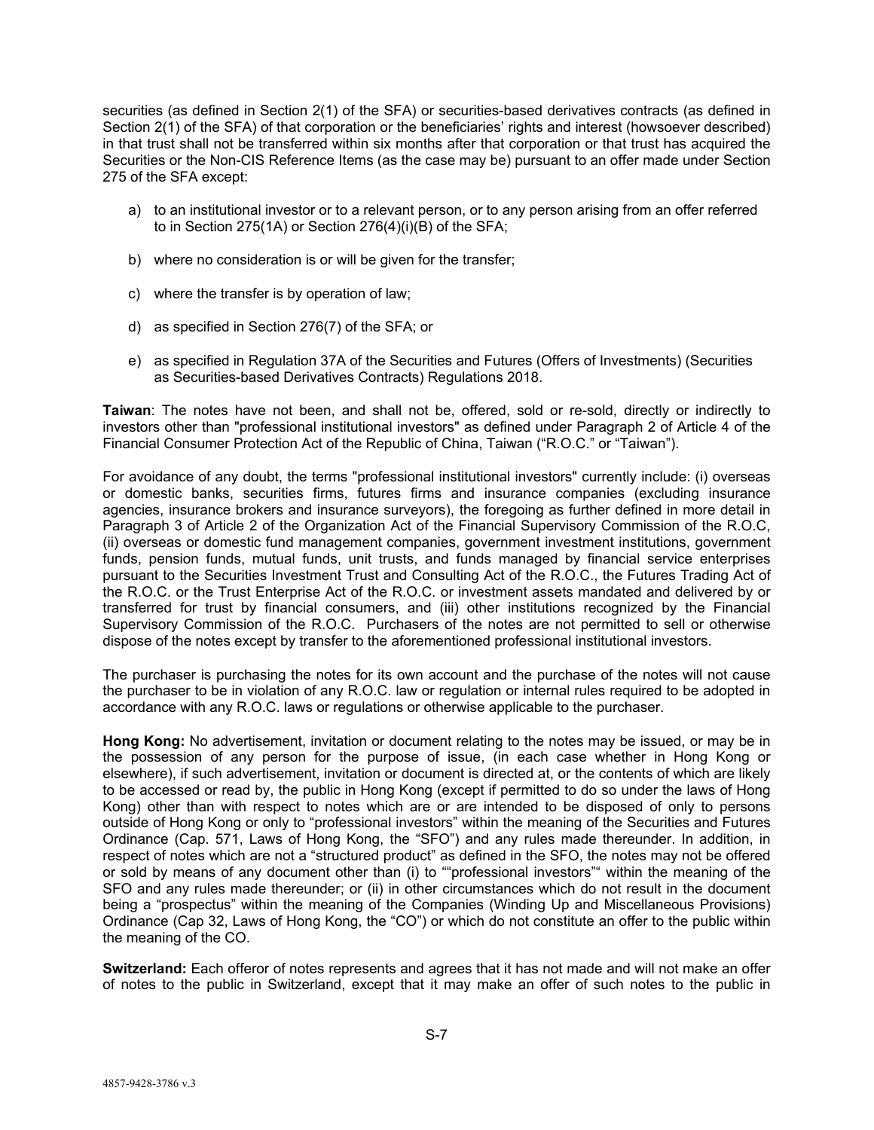securities (as defined in Section 2(1) of the SFA) or securities-based derivatives contracts (as defined in Section 2(1) of the SFA) of that corporation or the beneficiaries' rights and interest (howsoever described) in that trust shall not be transferred within six months after that corporation or that trust has acquired the Securities or the Non-CIS Reference Items (as the case may be) pursuant to an offer made under Section 275 of the SFA except:

- a) to an institutional investor or to a relevant person, or to any person arising from an offer referred to in Section 275(1A) or Section 276(4)(i)(B) of the SFA;
- b) where no consideration is or will be given for the transfer;
- c) where the transfer is by operation of law;
- d) as specified in Section 276(7) of the SFA; or
- e) as specified in Regulation 37A of the Securities and Futures (Offers of Investments) (Securities as Securities-based Derivatives Contracts) Regulations 2018.

**Taiwan**: The notes have not been, and shall not be, offered, sold or re-sold, directly or indirectly to investors other than "professional institutional investors" as defined under Paragraph 2 of Article 4 of the Financial Consumer Protection Act of the Republic of China, Taiwan ("R.O.C." or "Taiwan").

For avoidance of any doubt, the terms "professional institutional investors" currently include: (i) overseas or domestic banks, securities firms, futures firms and insurance companies (excluding insurance agencies, insurance brokers and insurance surveyors), the foregoing as further defined in more detail in Paragraph 3 of Article 2 of the Organization Act of the Financial Supervisory Commission of the R.O.C, (ii) overseas or domestic fund management companies, government investment institutions, government funds, pension funds, mutual funds, unit trusts, and funds managed by financial service enterprises pursuant to the Securities Investment Trust and Consulting Act of the R.O.C., the Futures Trading Act of the R.O.C. or the Trust Enterprise Act of the R.O.C. or investment assets mandated and delivered by or transferred for trust by financial consumers, and (iii) other institutions recognized by the Financial Supervisory Commission of the R.O.C. Purchasers of the notes are not permitted to sell or otherwise dispose of the notes except by transfer to the aforementioned professional institutional investors.

The purchaser is purchasing the notes for its own account and the purchase of the notes will not cause the purchaser to be in violation of any R.O.C. law or regulation or internal rules required to be adopted in accordance with any R.O.C. laws or regulations or otherwise applicable to the purchaser.

**Hong Kong:** No advertisement, invitation or document relating to the notes may be issued, or may be in the possession of any person for the purpose of issue, (in each case whether in Hong Kong or elsewhere), if such advertisement, invitation or document is directed at, or the contents of which are likely to be accessed or read by, the public in Hong Kong (except if permitted to do so under the laws of Hong Kong) other than with respect to notes which are or are intended to be disposed of only to persons outside of Hong Kong or only to "professional investors" within the meaning of the Securities and Futures Ordinance (Cap. 571, Laws of Hong Kong, the "SFO") and any rules made thereunder. In addition, in respect of notes which are not a "structured product" as defined in the SFO, the notes may not be offered or sold by means of any document other than (i) to ""professional investors"" within the meaning of the SFO and any rules made thereunder; or (ii) in other circumstances which do not result in the document being a "prospectus" within the meaning of the Companies (Winding Up and Miscellaneous Provisions) Ordinance (Cap 32, Laws of Hong Kong, the "CO") or which do not constitute an offer to the public within the meaning of the CO.

**Switzerland:** Each offeror of notes represents and agrees that it has not made and will not make an offer of notes to the public in Switzerland, except that it may make an offer of such notes to the public in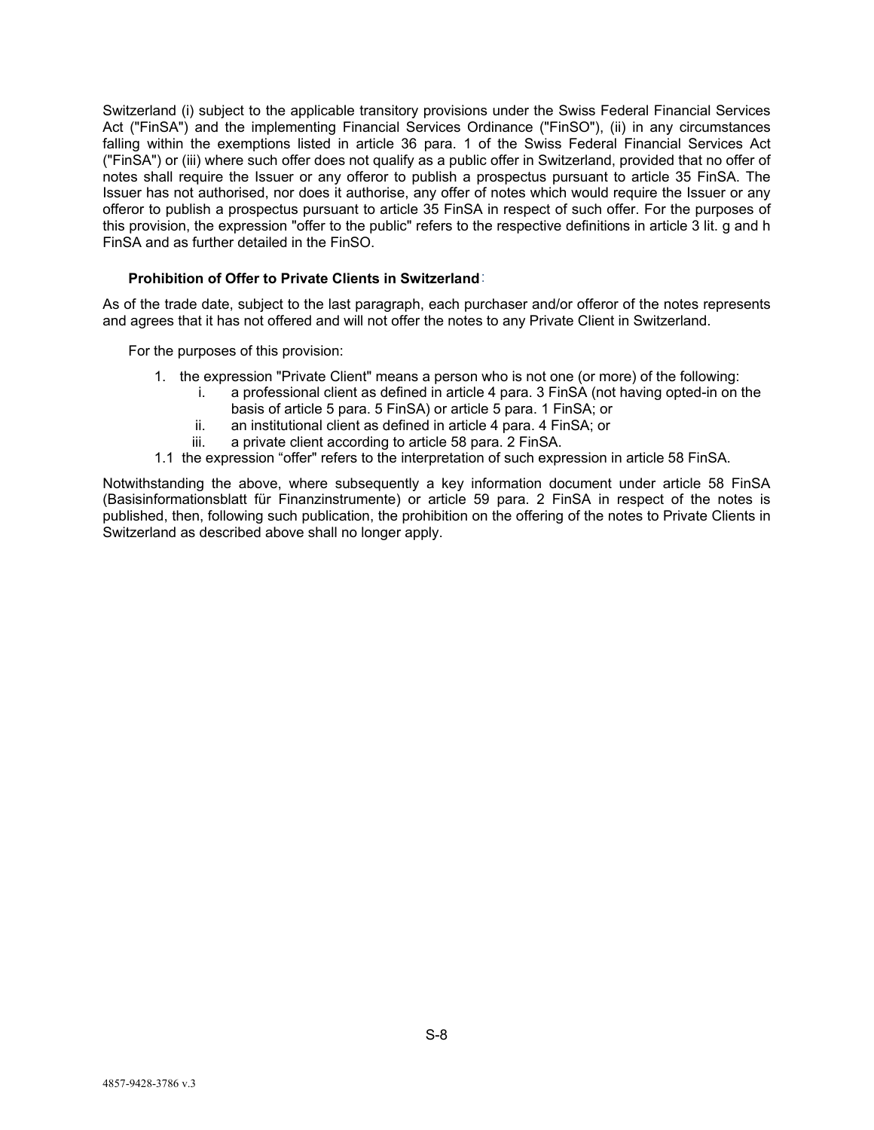Switzerland (i) subject to the applicable transitory provisions under the Swiss Federal Financial Services Act ("FinSA") and the implementing Financial Services Ordinance ("FinSO"), (ii) in any circumstances falling within the exemptions listed in article 36 para. 1 of the Swiss Federal Financial Services Act ("FinSA") or (iii) where such offer does not qualify as a public offer in Switzerland, provided that no offer of notes shall require the Issuer or any offeror to publish a prospectus pursuant to article 35 FinSA. The Issuer has not authorised, nor does it authorise, any offer of notes which would require the Issuer or any offeror to publish a prospectus pursuant to article 35 FinSA in respect of such offer. For the purposes of this provision, the expression "offer to the public" refers to the respective definitions in article 3 lit. g and h FinSA and as further detailed in the FinSO.

### **Prohibition of Offer to Private Clients in Switzerland**:

As of the trade date, subject to the last paragraph, each purchaser and/or offeror of the notes represents and agrees that it has not offered and will not offer the notes to any Private Client in Switzerland.

For the purposes of this provision:

- 1. the expression "Private Client" means a person who is not one (or more) of the following:
	- i. a professional client as defined in article 4 para. 3 FinSA (not having opted-in on the basis of article 5 para. 5 FinSA) or article 5 para. 1 FinSA; or
	- ii. an institutional client as defined in article 4 para. 4 FinSA; or
	- iii. a private client according to article 58 para. 2 FinSA.
- 1.1 the expression "offer" refers to the interpretation of such expression in article 58 FinSA.

Notwithstanding the above, where subsequently a key information document under article 58 FinSA (Basisinformationsblatt für Finanzinstrumente) or article 59 para. 2 FinSA in respect of the notes is published, then, following such publication, the prohibition on the offering of the notes to Private Clients in Switzerland as described above shall no longer apply.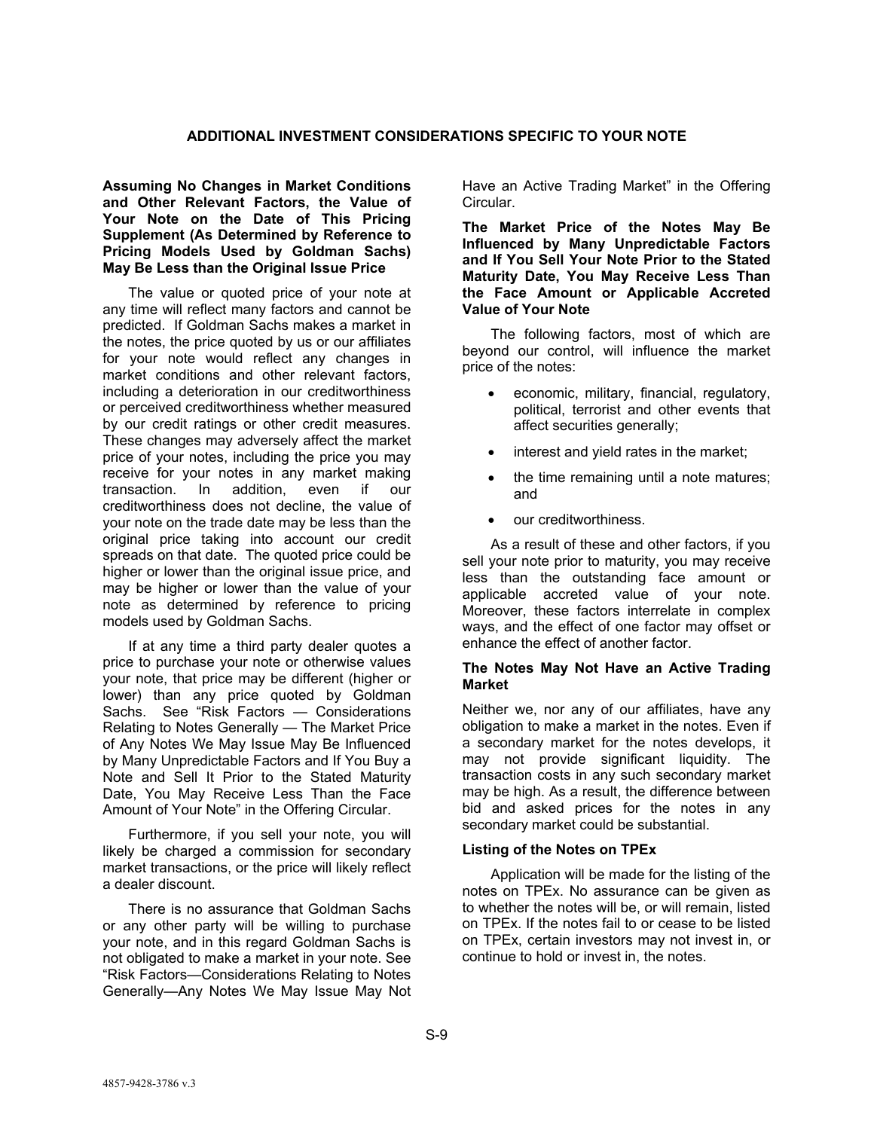## **ADDITIONAL INVESTMENT CONSIDERATIONS SPECIFIC TO YOUR NOTE**

**Assuming No Changes in Market Conditions and Other Relevant Factors, the Value of Your Note on the Date of This Pricing Supplement (As Determined by Reference to Pricing Models Used by Goldman Sachs) May Be Less than the Original Issue Price** 

The value or quoted price of your note at any time will reflect many factors and cannot be predicted. If Goldman Sachs makes a market in the notes, the price quoted by us or our affiliates for your note would reflect any changes in market conditions and other relevant factors, including a deterioration in our creditworthiness or perceived creditworthiness whether measured by our credit ratings or other credit measures. These changes may adversely affect the market price of your notes, including the price you may receive for your notes in any market making transaction. In addition, even if our creditworthiness does not decline, the value of your note on the trade date may be less than the original price taking into account our credit spreads on that date. The quoted price could be higher or lower than the original issue price, and may be higher or lower than the value of your note as determined by reference to pricing models used by Goldman Sachs.

If at any time a third party dealer quotes a price to purchase your note or otherwise values your note, that price may be different (higher or lower) than any price quoted by Goldman Sachs. See "Risk Factors — Considerations Relating to Notes Generally — The Market Price of Any Notes We May Issue May Be Influenced by Many Unpredictable Factors and If You Buy a Note and Sell It Prior to the Stated Maturity Date, You May Receive Less Than the Face Amount of Your Note" in the Offering Circular.

Furthermore, if you sell your note, you will likely be charged a commission for secondary market transactions, or the price will likely reflect a dealer discount.

There is no assurance that Goldman Sachs or any other party will be willing to purchase your note, and in this regard Goldman Sachs is not obligated to make a market in your note. See "Risk Factors—Considerations Relating to Notes Generally—Any Notes We May Issue May Not

Have an Active Trading Market" in the Offering Circular.

**The Market Price of the Notes May Be Influenced by Many Unpredictable Factors and If You Sell Your Note Prior to the Stated Maturity Date, You May Receive Less Than the Face Amount or Applicable Accreted Value of Your Note** 

The following factors, most of which are beyond our control, will influence the market price of the notes:

- economic, military, financial, regulatory, political, terrorist and other events that affect securities generally;
- interest and yield rates in the market;
- the time remaining until a note matures; and
- our creditworthiness.

As a result of these and other factors, if you sell your note prior to maturity, you may receive less than the outstanding face amount or applicable accreted value of your note. Moreover, these factors interrelate in complex ways, and the effect of one factor may offset or enhance the effect of another factor.

### **The Notes May Not Have an Active Trading Market**

Neither we, nor any of our affiliates, have any obligation to make a market in the notes. Even if a secondary market for the notes develops, it may not provide significant liquidity. The transaction costs in any such secondary market may be high. As a result, the difference between bid and asked prices for the notes in any secondary market could be substantial.

### **Listing of the Notes on TPEx**

Application will be made for the listing of the notes on TPEx. No assurance can be given as to whether the notes will be, or will remain, listed on TPEx. If the notes fail to or cease to be listed on TPEx, certain investors may not invest in, or continue to hold or invest in, the notes.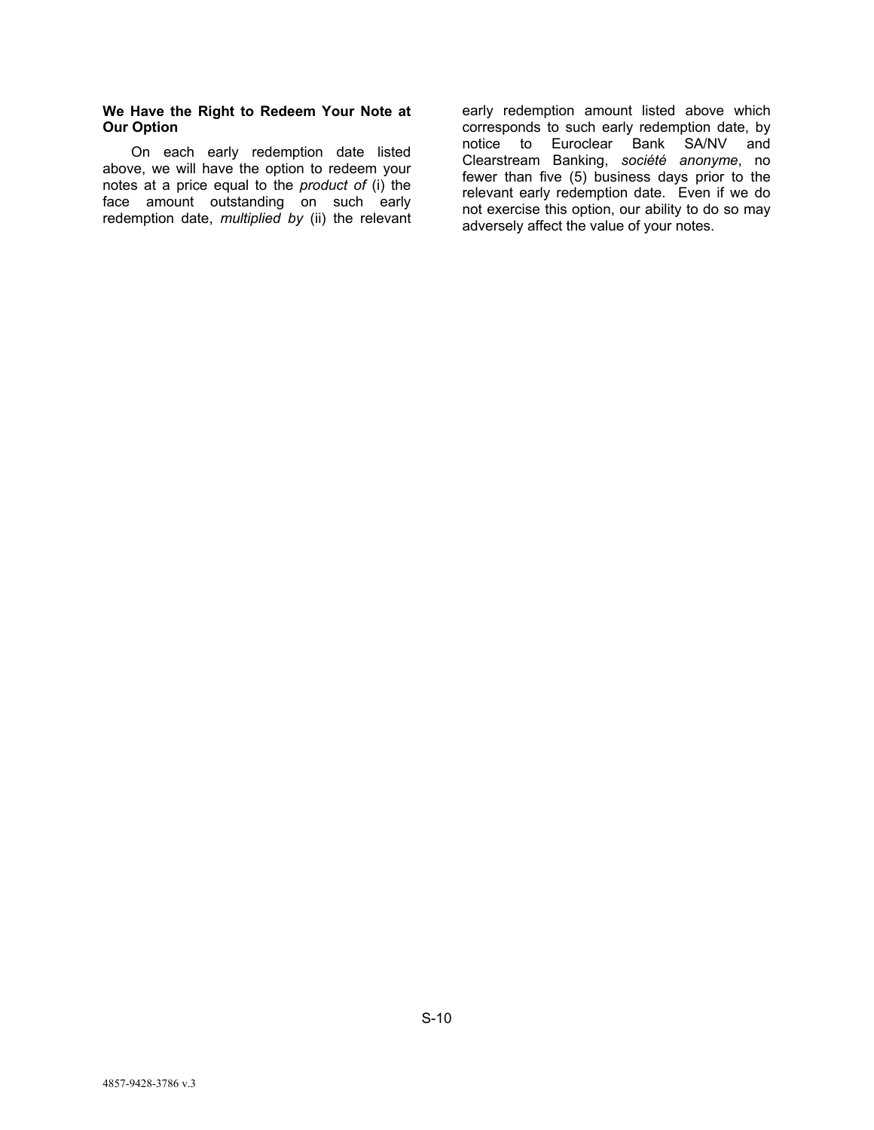### **We Have the Right to Redeem Your Note at Our Option**

On each early redemption date listed above, we will have the option to redeem your notes at a price equal to the *product of* (i) the face amount outstanding on such early redemption date, *multiplied by* (ii) the relevant early redemption amount listed above which corresponds to such early redemption date, by notice to Euroclear Bank SA/NV and Clearstream Banking, *société anonyme*, no fewer than five (5) business days prior to the relevant early redemption date. Even if we do not exercise this option, our ability to do so may adversely affect the value of your notes.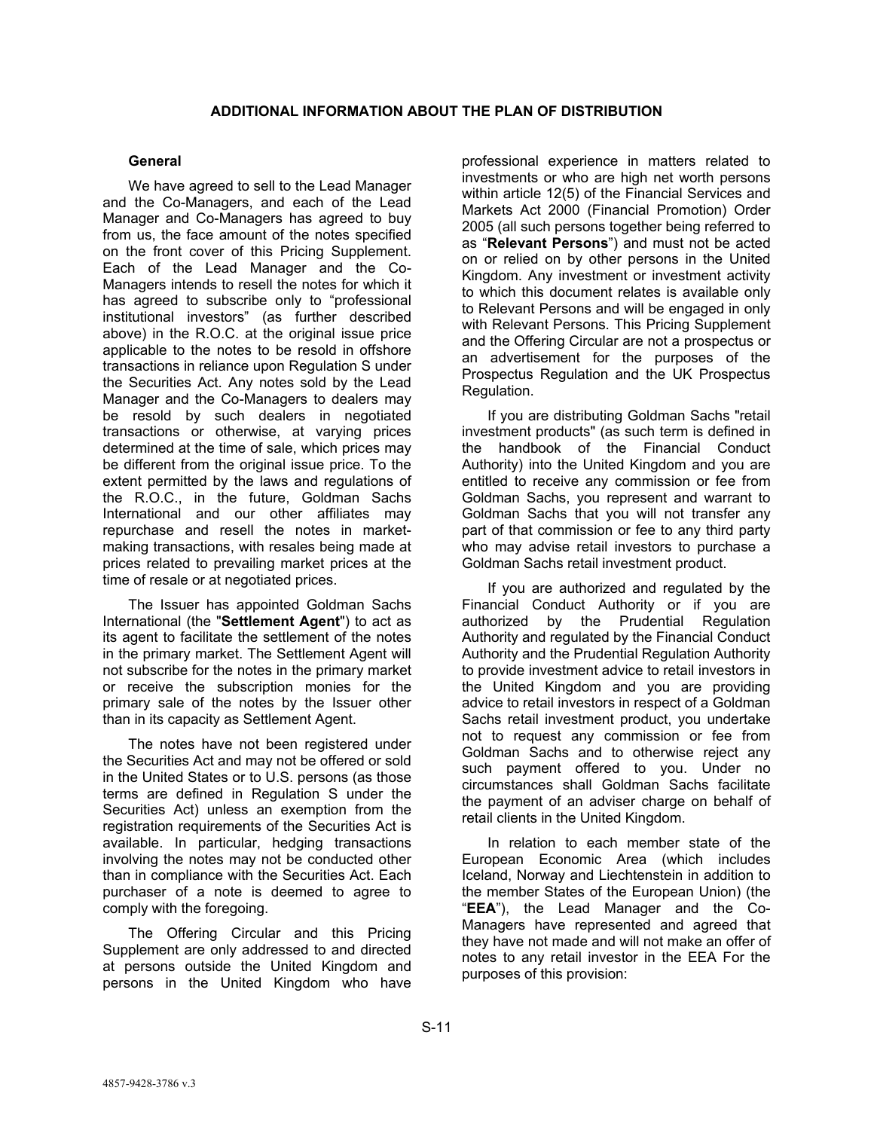# **General**

We have agreed to sell to the Lead Manager and the Co-Managers, and each of the Lead Manager and Co-Managers has agreed to buy from us, the face amount of the notes specified on the front cover of this Pricing Supplement. Each of the Lead Manager and the Co-Managers intends to resell the notes for which it has agreed to subscribe only to "professional institutional investors" (as further described above) in the R.O.C. at the original issue price applicable to the notes to be resold in offshore transactions in reliance upon Regulation S under the Securities Act. Any notes sold by the Lead Manager and the Co-Managers to dealers may be resold by such dealers in negotiated transactions or otherwise, at varying prices determined at the time of sale, which prices may be different from the original issue price. To the extent permitted by the laws and regulations of the R.O.C., in the future, Goldman Sachs International and our other affiliates may repurchase and resell the notes in marketmaking transactions, with resales being made at prices related to prevailing market prices at the time of resale or at negotiated prices.

The Issuer has appointed Goldman Sachs International (the "**Settlement Agent**") to act as its agent to facilitate the settlement of the notes in the primary market. The Settlement Agent will not subscribe for the notes in the primary market or receive the subscription monies for the primary sale of the notes by the Issuer other than in its capacity as Settlement Agent.

The notes have not been registered under the Securities Act and may not be offered or sold in the United States or to U.S. persons (as those terms are defined in Regulation S under the Securities Act) unless an exemption from the registration requirements of the Securities Act is available. In particular, hedging transactions involving the notes may not be conducted other than in compliance with the Securities Act. Each purchaser of a note is deemed to agree to comply with the foregoing.

The Offering Circular and this Pricing Supplement are only addressed to and directed at persons outside the United Kingdom and persons in the United Kingdom who have

professional experience in matters related to investments or who are high net worth persons within article 12(5) of the Financial Services and Markets Act 2000 (Financial Promotion) Order 2005 (all such persons together being referred to as "**Relevant Persons**") and must not be acted on or relied on by other persons in the United Kingdom. Any investment or investment activity to which this document relates is available only to Relevant Persons and will be engaged in only with Relevant Persons. This Pricing Supplement and the Offering Circular are not a prospectus or an advertisement for the purposes of the Prospectus Regulation and the UK Prospectus Regulation.

If you are distributing Goldman Sachs "retail investment products" (as such term is defined in the handbook of the Financial Conduct Authority) into the United Kingdom and you are entitled to receive any commission or fee from Goldman Sachs, you represent and warrant to Goldman Sachs that you will not transfer any part of that commission or fee to any third party who may advise retail investors to purchase a Goldman Sachs retail investment product.

If you are authorized and regulated by the Financial Conduct Authority or if you are authorized by the Prudential Regulation Authority and regulated by the Financial Conduct Authority and the Prudential Regulation Authority to provide investment advice to retail investors in the United Kingdom and you are providing advice to retail investors in respect of a Goldman Sachs retail investment product, you undertake not to request any commission or fee from Goldman Sachs and to otherwise reject any such payment offered to you. Under no circumstances shall Goldman Sachs facilitate the payment of an adviser charge on behalf of retail clients in the United Kingdom.

In relation to each member state of the European Economic Area (which includes Iceland, Norway and Liechtenstein in addition to the member States of the European Union) (the "**EEA**"), the Lead Manager and the Co-Managers have represented and agreed that they have not made and will not make an offer of notes to any retail investor in the EEA For the purposes of this provision: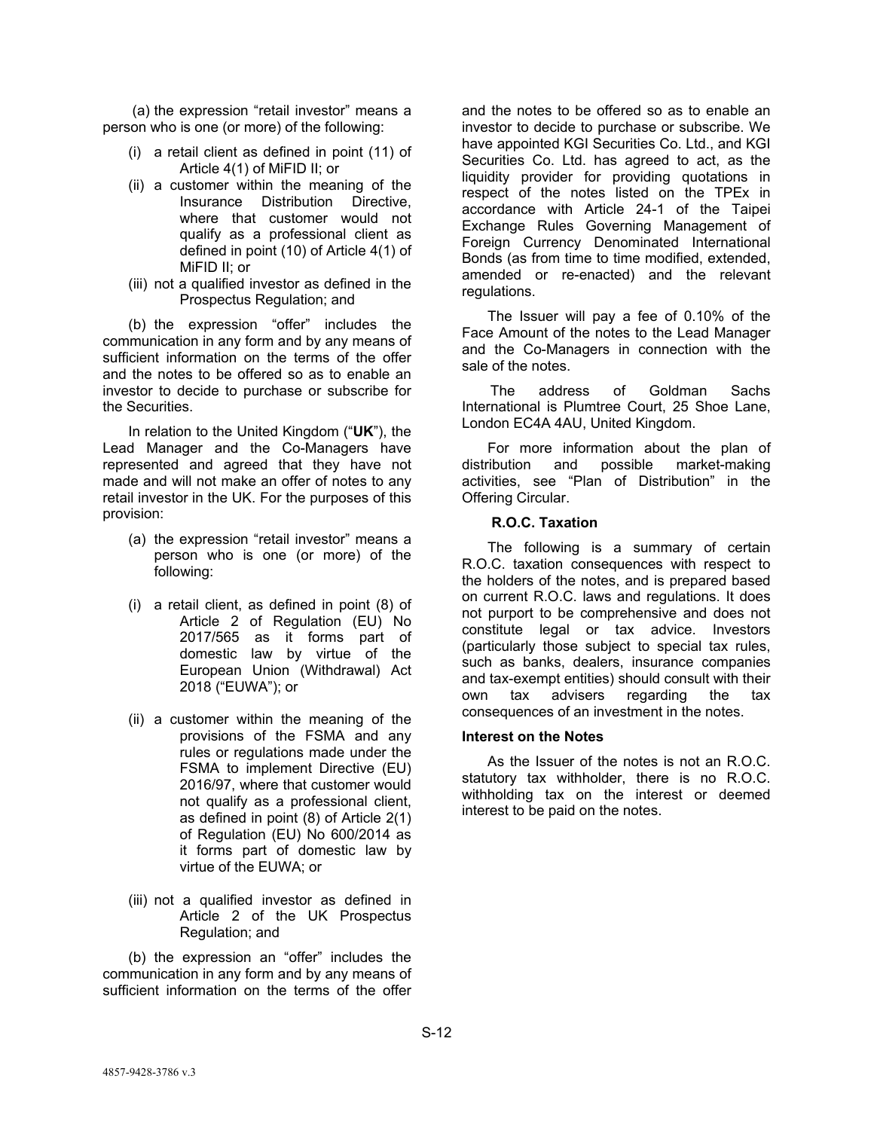(a) the expression "retail investor" means a person who is one (or more) of the following:

- (i) a retail client as defined in point (11) of Article 4(1) of MiFID II; or
- (ii) a customer within the meaning of the Insurance Distribution Directive, where that customer would not qualify as a professional client as defined in point (10) of Article 4(1) of MiFID II; or
- (iii) not a qualified investor as defined in the Prospectus Regulation; and

(b) the expression "offer" includes the communication in any form and by any means of sufficient information on the terms of the offer and the notes to be offered so as to enable an investor to decide to purchase or subscribe for the Securities.

In relation to the United Kingdom ("**UK**"), the Lead Manager and the Co-Managers have represented and agreed that they have not made and will not make an offer of notes to any retail investor in the UK. For the purposes of this provision:

- (a) the expression "retail investor" means a person who is one (or more) of the following:
- (i) a retail client, as defined in point (8) of Article 2 of Regulation (EU) No 2017/565 as it forms part of domestic law by virtue of the European Union (Withdrawal) Act 2018 ("EUWA"); or
- (ii) a customer within the meaning of the provisions of the FSMA and any rules or regulations made under the FSMA to implement Directive (EU) 2016/97, where that customer would not qualify as a professional client, as defined in point (8) of Article 2(1) of Regulation (EU) No 600/2014 as it forms part of domestic law by virtue of the EUWA; or
- (iii) not a qualified investor as defined in Article 2 of the UK Prospectus Regulation; and

(b) the expression an "offer" includes the communication in any form and by any means of sufficient information on the terms of the offer

and the notes to be offered so as to enable an investor to decide to purchase or subscribe. We have appointed KGI Securities Co. Ltd., and KGI Securities Co. Ltd. has agreed to act, as the liquidity provider for providing quotations in respect of the notes listed on the TPEx in accordance with Article 24-1 of the Taipei Exchange Rules Governing Management of Foreign Currency Denominated International Bonds (as from time to time modified, extended, amended or re-enacted) and the relevant regulations.

The Issuer will pay a fee of 0.10% of the Face Amount of the notes to the Lead Manager and the Co-Managers in connection with the sale of the notes.

The address of Goldman Sachs International is Plumtree Court, 25 Shoe Lane, London EC4A 4AU, United Kingdom.

For more information about the plan of distribution and possible market-making activities, see "Plan of Distribution" in the Offering Circular.

### **R.O.C. Taxation**

The following is a summary of certain R.O.C. taxation consequences with respect to the holders of the notes, and is prepared based on current R.O.C. laws and regulations. It does not purport to be comprehensive and does not constitute legal or tax advice. Investors (particularly those subject to special tax rules, such as banks, dealers, insurance companies and tax-exempt entities) should consult with their own tax advisers regarding the tax consequences of an investment in the notes.

### **Interest on the Notes**

As the Issuer of the notes is not an R.O.C. statutory tax withholder, there is no R.O.C. withholding tax on the interest or deemed interest to be paid on the notes.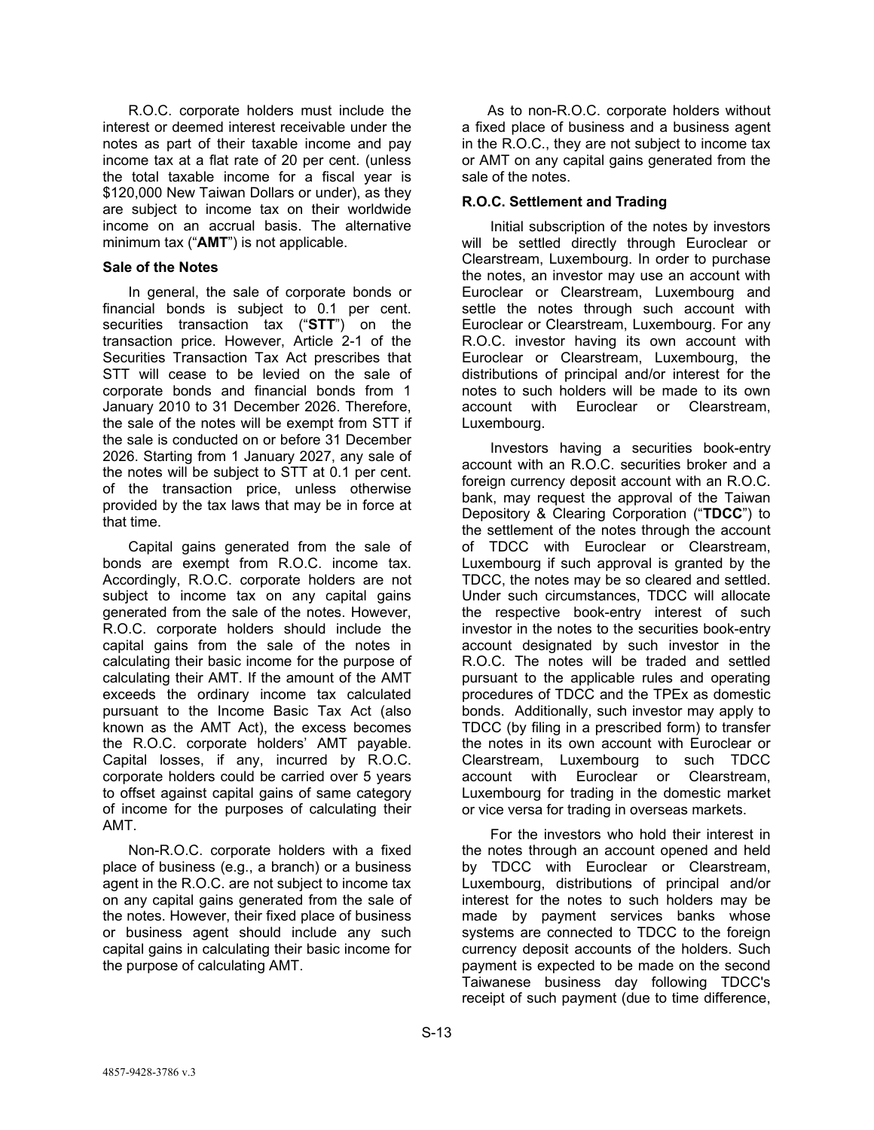R.O.C. corporate holders must include the interest or deemed interest receivable under the notes as part of their taxable income and pay income tax at a flat rate of 20 per cent. (unless the total taxable income for a fiscal year is \$120,000 New Taiwan Dollars or under), as they are subject to income tax on their worldwide income on an accrual basis. The alternative minimum tax ("**AMT**") is not applicable.

## **Sale of the Notes**

In general, the sale of corporate bonds or financial bonds is subject to 0.1 per cent. securities transaction tax ("**STT**") on the transaction price. However, Article 2-1 of the Securities Transaction Tax Act prescribes that STT will cease to be levied on the sale of corporate bonds and financial bonds from 1 January 2010 to 31 December 2026. Therefore, the sale of the notes will be exempt from STT if the sale is conducted on or before 31 December 2026. Starting from 1 January 2027, any sale of the notes will be subject to STT at 0.1 per cent. of the transaction price, unless otherwise provided by the tax laws that may be in force at that time.

Capital gains generated from the sale of bonds are exempt from R.O.C. income tax. Accordingly, R.O.C. corporate holders are not subject to income tax on any capital gains generated from the sale of the notes. However, R.O.C. corporate holders should include the capital gains from the sale of the notes in calculating their basic income for the purpose of calculating their AMT. If the amount of the AMT exceeds the ordinary income tax calculated pursuant to the Income Basic Tax Act (also known as the AMT Act), the excess becomes the R.O.C. corporate holders' AMT payable. Capital losses, if any, incurred by R.O.C. corporate holders could be carried over 5 years to offset against capital gains of same category of income for the purposes of calculating their AMT.

Non-R.O.C. corporate holders with a fixed place of business (e.g., a branch) or a business agent in the R.O.C. are not subject to income tax on any capital gains generated from the sale of the notes. However, their fixed place of business or business agent should include any such capital gains in calculating their basic income for the purpose of calculating AMT.

As to non-R.O.C. corporate holders without a fixed place of business and a business agent in the R.O.C., they are not subject to income tax or AMT on any capital gains generated from the sale of the notes.

# **R.O.C. Settlement and Trading**

Initial subscription of the notes by investors will be settled directly through Euroclear or Clearstream, Luxembourg. In order to purchase the notes, an investor may use an account with Euroclear or Clearstream, Luxembourg and settle the notes through such account with Euroclear or Clearstream, Luxembourg. For any R.O.C. investor having its own account with Euroclear or Clearstream, Luxembourg, the distributions of principal and/or interest for the notes to such holders will be made to its own account with Euroclear or Clearstream, Luxembourg.

Investors having a securities book-entry account with an R.O.C. securities broker and a foreign currency deposit account with an R.O.C. bank, may request the approval of the Taiwan Depository & Clearing Corporation ("**TDCC**") to the settlement of the notes through the account of TDCC with Euroclear or Clearstream, Luxembourg if such approval is granted by the TDCC, the notes may be so cleared and settled. Under such circumstances, TDCC will allocate the respective book-entry interest of such investor in the notes to the securities book-entry account designated by such investor in the R.O.C. The notes will be traded and settled pursuant to the applicable rules and operating procedures of TDCC and the TPEx as domestic bonds. Additionally, such investor may apply to TDCC (by filing in a prescribed form) to transfer the notes in its own account with Euroclear or Clearstream, Luxembourg to such TDCC account with Euroclear or Clearstream, Luxembourg for trading in the domestic market or vice versa for trading in overseas markets.

For the investors who hold their interest in the notes through an account opened and held by TDCC with Euroclear or Clearstream, Luxembourg, distributions of principal and/or interest for the notes to such holders may be made by payment services banks whose systems are connected to TDCC to the foreign currency deposit accounts of the holders. Such payment is expected to be made on the second Taiwanese business day following TDCC's receipt of such payment (due to time difference,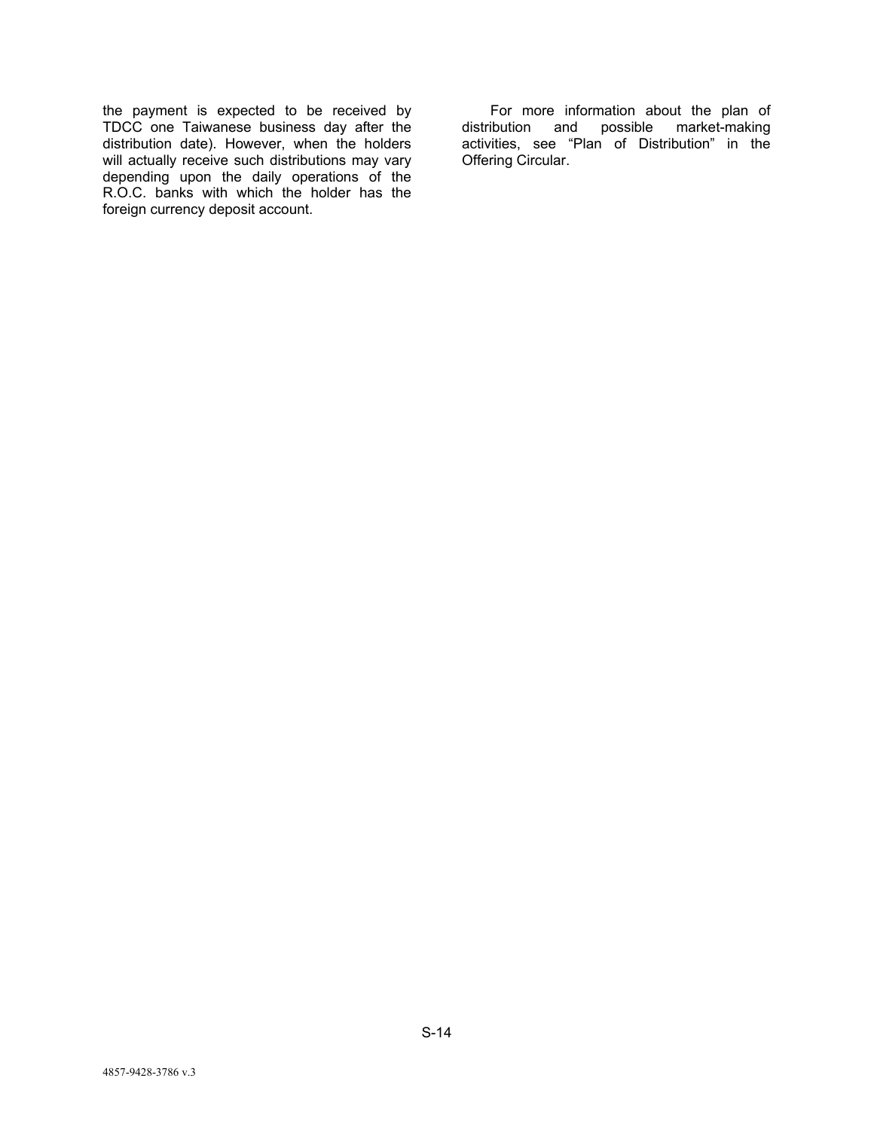the payment is expected to be received by TDCC one Taiwanese business day after the distribution date). However, when the holders will actually receive such distributions may vary depending upon the daily operations of the R.O.C. banks with which the holder has the foreign currency deposit account.

For more information about the plan of distribution and possible market-making activities, see "Plan of Distribution" in the Offering Circular.